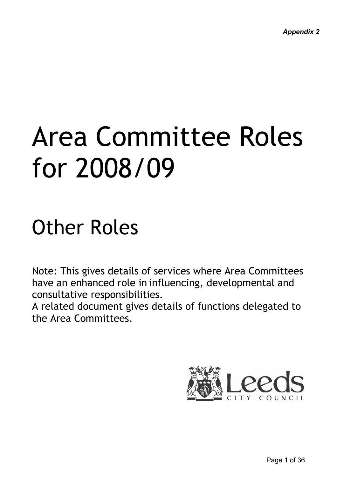# Other Roles

Note: This gives details of services where Area Committees have an enhanced role in influencing, developmental and consultative responsibilities.

A related document gives details of functions delegated to the Area Committees.

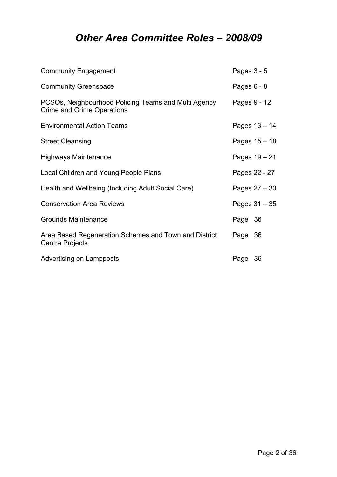# Other Area Committee Roles – 2008/09

| <b>Community Engagement</b>                                                               | Pages $3 - 5$   |  |
|-------------------------------------------------------------------------------------------|-----------------|--|
| <b>Community Greenspace</b>                                                               | Pages $6 - 8$   |  |
| PCSOs, Neighbourhood Policing Teams and Multi Agency<br><b>Crime and Grime Operations</b> | Pages 9 - 12    |  |
| <b>Environmental Action Teams</b>                                                         | Pages 13 - 14   |  |
| <b>Street Cleansing</b>                                                                   | Pages 15 - 18   |  |
| <b>Highways Maintenance</b>                                                               | Pages 19 - 21   |  |
| Local Children and Young People Plans                                                     | Pages 22 - 27   |  |
| Health and Wellbeing (Including Adult Social Care)                                        | Pages 27 - 30   |  |
| <b>Conservation Area Reviews</b>                                                          | Pages $31 - 35$ |  |
| <b>Grounds Maintenance</b>                                                                | Page 36         |  |
| Area Based Regeneration Schemes and Town and District<br><b>Centre Projects</b>           | Page 36         |  |
| <b>Advertising on Lampposts</b>                                                           | Page 36         |  |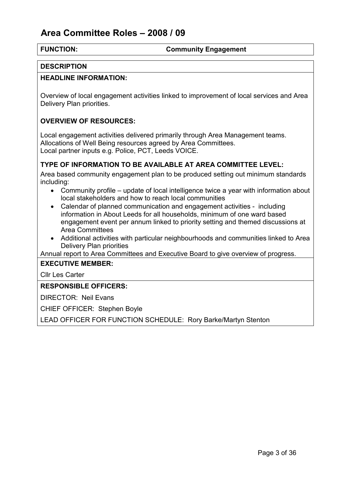#### FUNCTION: Community Engagement

#### **DESCRIPTION**

#### HEADLINE INFORMATION:

Overview of local engagement activities linked to improvement of local services and Area Delivery Plan priorities.

#### OVERVIEW OF RESOURCES:

Local engagement activities delivered primarily through Area Management teams. Allocations of Well Being resources agreed by Area Committees. Local partner inputs e.g. Police, PCT, Leeds VOICE.

#### TYPE OF INFORMATION TO BE AVAILABLE AT AREA COMMITTEE LEVEL:

Area based community engagement plan to be produced setting out minimum standards including:

- Community profile update of local intelligence twice a year with information about local stakeholders and how to reach local communities
- Calendar of planned communication and engagement activities including information in About Leeds for all households, minimum of one ward based engagement event per annum linked to priority setting and themed discussions at Area Committees
- Additional activities with particular neighbourhoods and communities linked to Area Delivery Plan priorities

Annual report to Area Committees and Executive Board to give overview of progress.

#### EXECUTIVE MEMBER:

Cllr Les Carter

#### RESPONSIBLE OFFICERS:

DIRECTOR: Neil Evans

CHIEF OFFICER: Stephen Boyle

LEAD OFFICER FOR FUNCTION SCHEDULE: Rory Barke/Martyn Stenton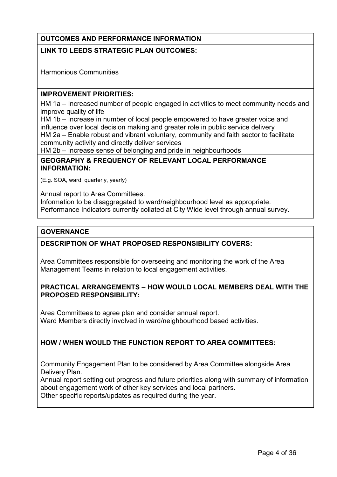### OUTCOMES AND PERFORMANCE INFORMATION

#### LINK TO LEEDS STRATEGIC PLAN OUTCOMES:

Harmonious Communities

#### IMPROVEMENT PRIORITIES:

HM 1a – Increased number of people engaged in activities to meet community needs and improve quality of life

HM 1b – Increase in number of local people empowered to have greater voice and influence over local decision making and greater role in public service delivery HM 2a – Enable robust and vibrant voluntary, community and faith sector to facilitate community activity and directly deliver services

HM 2b – Increase sense of belonging and pride in neighbourhoods

#### GEOGRAPHY & FREQUENCY OF RELEVANT LOCAL PERFORMANCE INFORMATION:

(E.g. SOA, ward, quarterly, yearly)

Annual report to Area Committees. Information to be disaggregated to ward/neighbourhood level as appropriate. Performance Indicators currently collated at City Wide level through annual survey.

#### **GOVERNANCE**

#### DESCRIPTION OF WHAT PROPOSED RESPONSIBILITY COVERS:

Area Committees responsible for overseeing and monitoring the work of the Area Management Teams in relation to local engagement activities.

#### PRACTICAL ARRANGEMENTS – HOW WOULD LOCAL MEMBERS DEAL WITH THE PROPOSED RESPONSIBILITY:

Area Committees to agree plan and consider annual report. Ward Members directly involved in ward/neighbourhood based activities.

#### HOW / WHEN WOULD THE FUNCTION REPORT TO AREA COMMITTEES:

Community Engagement Plan to be considered by Area Committee alongside Area Delivery Plan.

Annual report setting out progress and future priorities along with summary of information about engagement work of other key services and local partners. Other specific reports/updates as required during the year.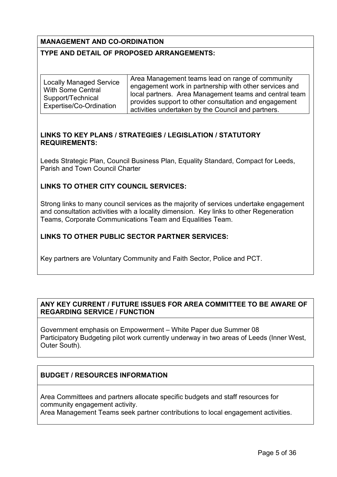#### MANAGEMENT AND CO-ORDINATION

#### TYPE AND DETAIL OF PROPOSED ARRANGEMENTS:

| <b>Locally Managed Service</b> | Area Management teams lead on range of community       |
|--------------------------------|--------------------------------------------------------|
| <b>With Some Central</b>       | engagement work in partnership with other services and |
|                                | local partners. Area Management teams and central team |
| Support/Technical              | provides support to other consultation and engagement  |
| Expertise/Co-Ordination        | activities undertaken by the Council and partners.     |

#### LINKS TO KEY PLANS / STRATEGIES / LEGISLATION / STATUTORY REQUIREMENTS:

Leeds Strategic Plan, Council Business Plan, Equality Standard, Compact for Leeds, Parish and Town Council Charter

#### LINKS TO OTHER CITY COUNCIL SERVICES:

Strong links to many council services as the majority of services undertake engagement and consultation activities with a locality dimension. Key links to other Regeneration Teams, Corporate Communications Team and Equalities Team.

#### LINKS TO OTHER PUBLIC SECTOR PARTNER SERVICES:

Key partners are Voluntary Community and Faith Sector, Police and PCT.

#### ANY KEY CURRENT / FUTURE ISSUES FOR AREA COMMITTEE TO BE AWARE OF REGARDING SERVICE / FUNCTION

Government emphasis on Empowerment – White Paper due Summer 08 Participatory Budgeting pilot work currently underway in two areas of Leeds (Inner West, Outer South).

### BUDGET / RESOURCES INFORMATION

Area Committees and partners allocate specific budgets and staff resources for community engagement activity.

Area Management Teams seek partner contributions to local engagement activities.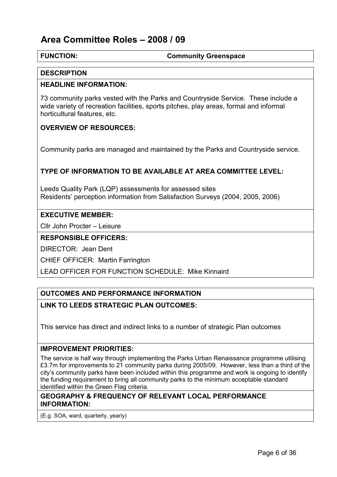#### FUNCTION: Community Greenspace

#### **DESCRIPTION**

#### HEADLINE INFORMATION:

73 community parks vested with the Parks and Countryside Service. These include a wide variety of recreation facilities, sports pitches, play areas, formal and informal horticultural features, etc.

#### OVERVIEW OF RESOURCES:

Community parks are managed and maintained by the Parks and Countryside service.

#### TYPE OF INFORMATION TO BE AVAILABLE AT AREA COMMITTEE LEVEL:

Leeds Quality Park (LQP) assessments for assessed sites Residents' perception information from Satisfaction Surveys (2004, 2005, 2006)

#### EXECUTIVE MEMBER:

Cllr John Procter – Leisure

#### RESPONSIBLE OFFICERS:

DIRECTOR: Jean Dent

CHIEF OFFICER: Martin Farrington

LEAD OFFICER FOR FUNCTION SCHEDULE: Mike Kinnaird

#### OUTCOMES AND PERFORMANCE INFORMATION

#### LINK TO LEEDS STRATEGIC PLAN OUTCOMES:

This service has direct and indirect links to a number of strategic Plan outcomes

#### IMPROVEMENT PRIORITIES:

The service is half way through implementing the Parks Urban Renaissance programme utilising £3.7m for improvements to 21 community parks during 2005/09. However, less than a third of the city's community parks have been included within this programme and work is ongoing to identify the funding requirement to bring all community parks to the minimum acceptable standard identified within the Green Flag criteria.

#### GEOGRAPHY & FREQUENCY OF RELEVANT LOCAL PERFORMANCE INFORMATION:

(E.g. SOA, ward, quarterly, yearly)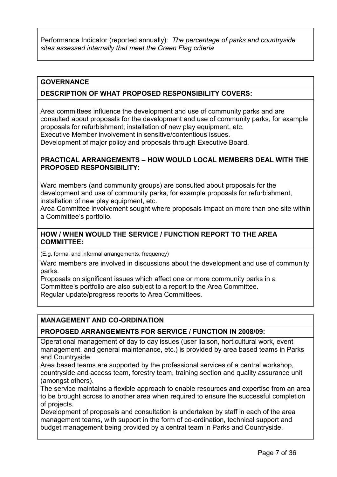Performance Indicator (reported annually): The percentage of parks and countryside sites assessed internally that meet the Green Flag criteria

#### **GOVERNANCE**

#### DESCRIPTION OF WHAT PROPOSED RESPONSIBILITY COVERS:

Area committees influence the development and use of community parks and are consulted about proposals for the development and use of community parks, for example proposals for refurbishment, installation of new play equipment, etc. Executive Member involvement in sensitive/contentious issues. Development of major policy and proposals through Executive Board.

#### PRACTICAL ARRANGEMENTS – HOW WOULD LOCAL MEMBERS DEAL WITH THE PROPOSED RESPONSIBILITY:

Ward members (and community groups) are consulted about proposals for the development and use of community parks, for example proposals for refurbishment, installation of new play equipment, etc.

Area Committee involvement sought where proposals impact on more than one site within a Committee's portfolio.

#### HOW / WHEN WOULD THE SERVICE / FUNCTION REPORT TO THE AREA COMMITTEE:

(E.g. formal and informal arrangements, frequency)

Ward members are involved in discussions about the development and use of community parks.

Proposals on significant issues which affect one or more community parks in a Committee's portfolio are also subject to a report to the Area Committee. Regular update/progress reports to Area Committees.

#### MANAGEMENT AND CO-ORDINATION

#### PROPOSED ARRANGEMENTS FOR SERVICE / FUNCTION IN 2008/09:

Operational management of day to day issues (user liaison, horticultural work, event management, and general maintenance, etc.) is provided by area based teams in Parks and Countryside.

Area based teams are supported by the professional services of a central workshop, countryside and access team, forestry team, training section and quality assurance unit (amongst others).

The service maintains a flexible approach to enable resources and expertise from an area to be brought across to another area when required to ensure the successful completion of projects.

Development of proposals and consultation is undertaken by staff in each of the area management teams, with support in the form of co-ordination, technical support and budget management being provided by a central team in Parks and Countryside.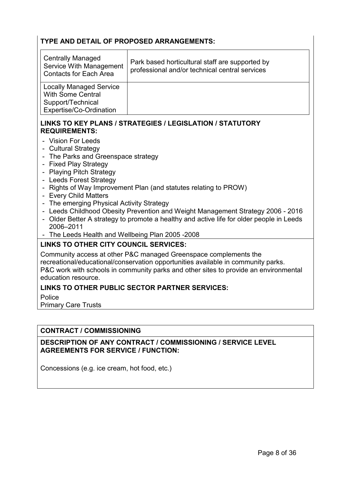#### TYPE AND DETAIL OF PROPOSED ARRANGEMENTS:

| <b>Centrally Managed</b><br>Service With Management<br><b>Contacts for Each Area</b>                       | Park based horticultural staff are supported by<br>professional and/or technical central services |
|------------------------------------------------------------------------------------------------------------|---------------------------------------------------------------------------------------------------|
| <b>Locally Managed Service</b><br><b>With Some Central</b><br>Support/Technical<br>Expertise/Co-Ordination |                                                                                                   |

#### LINKS TO KEY PLANS / STRATEGIES / LEGISLATION / STATUTORY REQUIREMENTS:

- Vision For Leeds
- Cultural Strategy
- The Parks and Greenspace strategy
- Fixed Play Strategy
- Playing Pitch Strategy
- Leeds Forest Strategy
- Rights of Way Improvement Plan (and statutes relating to PROW)
- Every Child Matters
- The emerging Physical Activity Strategy
- Leeds Childhood Obesity Prevention and Weight Management Strategy 2006 2016
- Older Better A strategy to promote a healthy and active life for older people in Leeds 2006–2011
- The Leeds Health and Wellbeing Plan 2005 -2008

#### LINKS TO OTHER CITY COUNCIL SERVICES:

Community access at other P&C managed Greenspace complements the recreational/educational/conservation opportunities available in community parks. P&C work with schools in community parks and other sites to provide an environmental education resource.

#### LINKS TO OTHER PUBLIC SECTOR PARTNER SERVICES:

Police

Primary Care Trusts

#### CONTRACT / COMMISSIONING

#### DESCRIPTION OF ANY CONTRACT / COMMISSIONING / SERVICE LEVEL AGREEMENTS FOR SERVICE / FUNCTION:

Concessions (e.g. ice cream, hot food, etc.)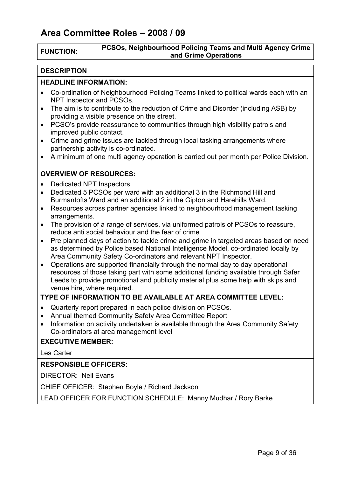#### FUNCTION: PCSOs, Neighbourhood Policing Teams and Multi Agency Crime and Grime Operations

#### **DESCRIPTION**

#### HEADLINE INFORMATION:

- Co-ordination of Neighbourhood Policing Teams linked to political wards each with an NPT Inspector and PCSOs.
- The aim is to contribute to the reduction of Crime and Disorder (including ASB) by providing a visible presence on the street.
- PCSO's provide reassurance to communities through high visibility patrols and improved public contact.
- Crime and grime issues are tackled through local tasking arrangements where partnership activity is co-ordinated.
- A minimum of one multi agency operation is carried out per month per Police Division.

#### OVERVIEW OF RESOURCES:

- Dedicated NPT Inspectors
- Dedicated 5 PCSOs per ward with an additional 3 in the Richmond Hill and Burmantofts Ward and an additional 2 in the Gipton and Harehills Ward.
- Resources across partner agencies linked to neighbourhood management tasking arrangements.
- The provision of a range of services, via uniformed patrols of PCSOs to reassure, reduce anti social behaviour and the fear of crime
- Pre planned days of action to tackle crime and grime in targeted areas based on need as determined by Police based National Intelligence Model, co-ordinated locally by Area Community Safety Co-ordinators and relevant NPT Inspector.
- Operations are supported financially through the normal day to day operational resources of those taking part with some additional funding available through Safer Leeds to provide promotional and publicity material plus some help with skips and venue hire, where required.

#### TYPE OF INFORMATION TO BE AVAILABLE AT AREA COMMITTEE LEVEL:

- Quarterly report prepared in each police division on PCSOs.
- Annual themed Community Safety Area Committee Report
- Information on activity undertaken is available through the Area Community Safety Co-ordinators at area management level

#### EXECUTIVE MEMBER:

Les Carter

#### RESPONSIBLE OFFICERS:

DIRECTOR: Neil Evans

CHIEF OFFICER: Stephen Boyle / Richard Jackson

LEAD OFFICER FOR FUNCTION SCHEDULE: Manny Mudhar / Rory Barke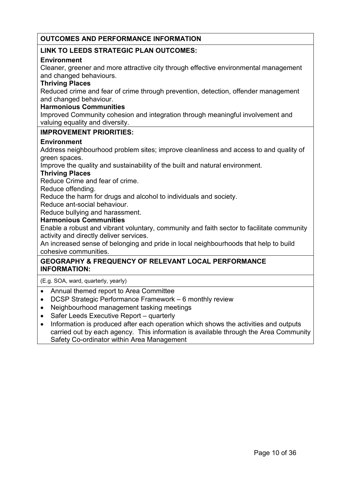#### OUTCOMES AND PERFORMANCE INFORMATION

#### LINK TO LEEDS STRATEGIC PLAN OUTCOMES:

#### **Environment**

Cleaner, greener and more attractive city through effective environmental management and changed behaviours.

#### Thriving Places

Reduced crime and fear of crime through prevention, detection, offender management and changed behaviour.

#### Harmonious Communities

Improved Community cohesion and integration through meaningful involvement and valuing equality and diversity.

#### IMPROVEMENT PRIORITIES:

#### **Environment**

Address neighbourhood problem sites; improve cleanliness and access to and quality of green spaces.

Improve the quality and sustainability of the built and natural environment.

#### Thriving Places

Reduce Crime and fear of crime.

Reduce offending.

Reduce the harm for drugs and alcohol to individuals and society.

Reduce ant-social behaviour.

Reduce bullying and harassment.

#### Harmonious Communities

Enable a robust and vibrant voluntary, community and faith sector to facilitate community activity and directly deliver services.

An increased sense of belonging and pride in local neighbourhoods that help to build cohesive communities.

#### GEOGRAPHY & FREQUENCY OF RELEVANT LOCAL PERFORMANCE INFORMATION:

(E.g. SOA, ward, quarterly, yearly)

- Annual themed report to Area Committee
- DCSP Strategic Performance Framework 6 monthly review
- Neighbourhood management tasking meetings
- Safer Leeds Executive Report quarterly
- Information is produced after each operation which shows the activities and outputs carried out by each agency. This information is available through the Area Community Safety Co-ordinator within Area Management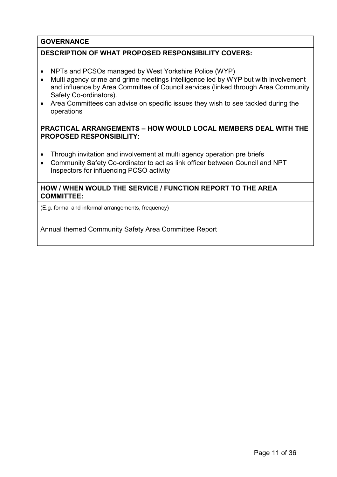#### **GOVERNANCE**

#### DESCRIPTION OF WHAT PROPOSED RESPONSIBILITY COVERS:

- NPTs and PCSOs managed by West Yorkshire Police (WYP)
- Multi agency crime and grime meetings intelligence led by WYP but with involvement and influence by Area Committee of Council services (linked through Area Community Safety Co-ordinators).
- Area Committees can advise on specific issues they wish to see tackled during the operations

#### PRACTICAL ARRANGEMENTS – HOW WOULD LOCAL MEMBERS DEAL WITH THE PROPOSED RESPONSIBILITY:

- Through invitation and involvement at multi agency operation pre briefs
- Community Safety Co-ordinator to act as link officer between Council and NPT Inspectors for influencing PCSO activity

#### HOW / WHEN WOULD THE SERVICE / FUNCTION REPORT TO THE AREA COMMITTEE:

(E.g. formal and informal arrangements, frequency)

Annual themed Community Safety Area Committee Report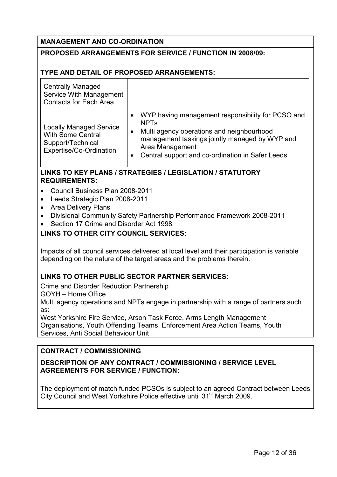#### MANAGEMENT AND CO-ORDINATION

#### PROPOSED ARRANGEMENTS FOR SERVICE / FUNCTION IN 2008/09:

#### TYPE AND DETAIL OF PROPOSED ARRANGEMENTS:

| <b>Centrally Managed</b><br>Service With Management<br><b>Contacts for Each Area</b>                       |                                                                                                                                                                                                                                                                |
|------------------------------------------------------------------------------------------------------------|----------------------------------------------------------------------------------------------------------------------------------------------------------------------------------------------------------------------------------------------------------------|
| <b>Locally Managed Service</b><br><b>With Some Central</b><br>Support/Technical<br>Expertise/Co-Ordination | WYP having management responsibility for PCSO and<br>$\bullet$<br><b>NPT<sub>s</sub></b><br>Multi agency operations and neighbourhood<br>management taskings jointly managed by WYP and<br>Area Management<br>Central support and co-ordination in Safer Leeds |

#### LINKS TO KEY PLANS / STRATEGIES / LEGISLATION / STATUTORY REQUIREMENTS:

- Council Business Plan 2008-2011
- Leeds Strategic Plan 2008-2011
- Area Delivery Plans
- Divisional Community Safety Partnership Performance Framework 2008-2011
- Section 17 Crime and Disorder Act 1998

#### LINKS TO OTHER CITY COUNCIL SERVICES:

Impacts of all council services delivered at local level and their participation is variable depending on the nature of the target areas and the problems therein.

#### LINKS TO OTHER PUBLIC SECTOR PARTNER SERVICES:

Crime and Disorder Reduction Partnership

GOYH – Home Office

Multi agency operations and NPTs engage in partnership with a range of partners such as:

West Yorkshire Fire Service, Arson Task Force, Arms Length Management Organisations, Youth Offending Teams, Enforcement Area Action Teams, Youth Services, Anti Social Behaviour Unit

#### CONTRACT / COMMISSIONING

#### DESCRIPTION OF ANY CONTRACT / COMMISSIONING / SERVICE LEVEL AGREEMENTS FOR SERVICE / FUNCTION:

The deployment of match funded PCSOs is subject to an agreed Contract between Leeds City Council and West Yorkshire Police effective until 31<sup>st</sup> March 2009.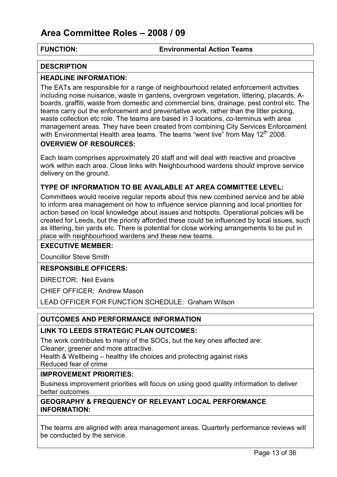#### FUNCTION: Environmental Action Teams

#### **DESCRIPTION**

#### HEADLINE INFORMATION:

The EATs are responsible for a range of neighbourhood related enforcement activities including noise nuisance, waste in gardens, overgrown vegetation, littering, placards, Aboards, graffiti, waste from domestic and commercial bins, drainage, pest control etc. The teams carry out the enforcement and preventative work, rather than the litter picking, waste collection etc role. The teams are based in 3 locations, co-terminus with area management areas. They have been created from combining City Services Enforcement with Environmental Health area teams. The teams "went live" from May  $12<sup>th</sup>$  2008.

#### OVERVIEW OF RESOURCES:

Each team comprises approximately 20 staff and will deal with reactive and proactive work within each area. Close links with Neighbourhood wardens should improve service delivery on the ground.

#### TYPE OF INFORMATION TO BE AVAILABLE AT AREA COMMITTEE LEVEL:

Committees would receive regular reports about this new combined service and be able to inform area management on how to influence service planning and local priorities for action based on local knowledge about issues and hotspots. Operational policies will be created for Leeds, but the priority afforded these could be influenced by local issues, such as littering, bin yards etc. There is potential for close working arrangements to be put in place with neighbourhood wardens and these new teams.

#### EXECUTIVE MEMBER:

Councillor Steve Smith

#### RESPONSIBLE OFFICERS:

DIRECTOR: Neil Evans

CHIEF OFFICER: Andrew Mason

LEAD OFFICER FOR FUNCTION SCHEDULE: Graham Wilson

#### OUTCOMES AND PERFORMANCE INFORMATION

#### LINK TO LEEDS STRATEGIC PLAN OUTCOMES:

The work contributes to many of the SOCs, but the key ones affected are: Cleaner, greener and more attractive.

Health & Wellbeing – healthy life choices and protecting against risks Reduced fear of crime

#### IMPROVEMENT PRIORITIES:

Business improvement priorities will focus on using good quality information to deliver better outcomes.

#### GEOGRAPHY & FREQUENCY OF RELEVANT LOCAL PERFORMANCE INFORMATION:

The teams are aligned with area management areas. Quarterly performance reviews will be conducted by the service.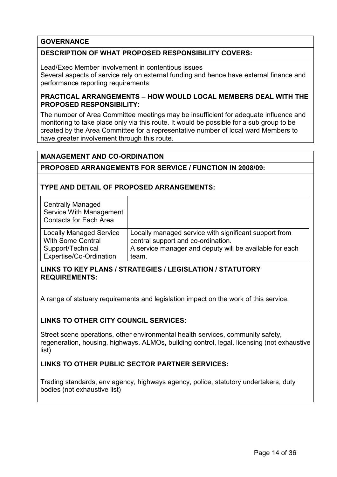#### **GOVERNANCE**

#### DESCRIPTION OF WHAT PROPOSED RESPONSIBILITY COVERS:

Lead/Exec Member involvement in contentious issues Several aspects of service rely on external funding and hence have external finance and performance reporting requirements

#### PRACTICAL ARRANGEMENTS – HOW WOULD LOCAL MEMBERS DEAL WITH THE PROPOSED RESPONSIBILITY:

The number of Area Committee meetings may be insufficient for adequate influence and monitoring to take place only via this route. It would be possible for a sub group to be created by the Area Committee for a representative number of local ward Members to have greater involvement through this route.

#### MANAGEMENT AND CO-ORDINATION

#### PROPOSED ARRANGEMENTS FOR SERVICE / FUNCTION IN 2008/09:

#### TYPE AND DETAIL OF PROPOSED ARRANGEMENTS:

| <b>Centrally Managed</b><br>Service With Management<br><b>Contacts for Each Area</b> |                                                         |
|--------------------------------------------------------------------------------------|---------------------------------------------------------|
| <b>Locally Managed Service</b>                                                       | Locally managed service with significant support from   |
| <b>With Some Central</b>                                                             | central support and co-ordination.                      |
| Support/Technical                                                                    | A service manager and deputy will be available for each |
| Expertise/Co-Ordination                                                              | team.                                                   |

#### LINKS TO KEY PLANS / STRATEGIES / LEGISLATION / STATUTORY REQUIREMENTS:

A range of statuary requirements and legislation impact on the work of this service.

#### LINKS TO OTHER CITY COUNCIL SERVICES:

Street scene operations, other environmental health services, community safety, regeneration, housing, highways, ALMOs, building control, legal, licensing (not exhaustive list)

#### LINKS TO OTHER PUBLIC SECTOR PARTNER SERVICES:

Trading standards, env agency, highways agency, police, statutory undertakers, duty bodies (not exhaustive list)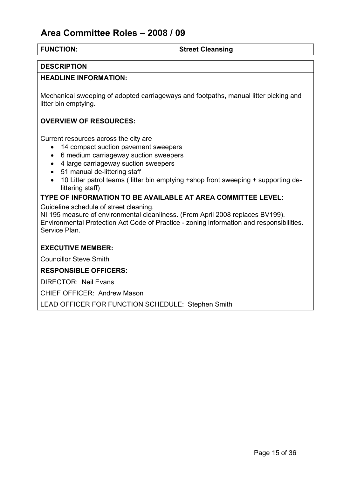#### FUNCTION: Street Cleansing

#### **DESCRIPTION**

#### HEADLINE INFORMATION:

Mechanical sweeping of adopted carriageways and footpaths, manual litter picking and litter bin emptying.

#### OVERVIEW OF RESOURCES:

Current resources across the city are

- 14 compact suction pavement sweepers
- 6 medium carriageway suction sweepers
- 4 large carriageway suction sweepers
- 51 manual de-littering staff
- 10 Litter patrol teams ( litter bin emptying +shop front sweeping + supporting delittering staff)

### TYPE OF INFORMATION TO BE AVAILABLE AT AREA COMMITTEE LEVEL:

Guideline schedule of street cleaning.

NI 195 measure of environmental cleanliness. (From April 2008 replaces BV199). Environmental Protection Act Code of Practice - zoning information and responsibilities. Service Plan.

#### EXECUTIVE MEMBER:

Councillor Steve Smith

#### RESPONSIBLE OFFICERS:

DIRECTOR: Neil Evans

CHIEF OFFICER: Andrew Mason

LEAD OFFICER FOR FUNCTION SCHEDULE: Stephen Smith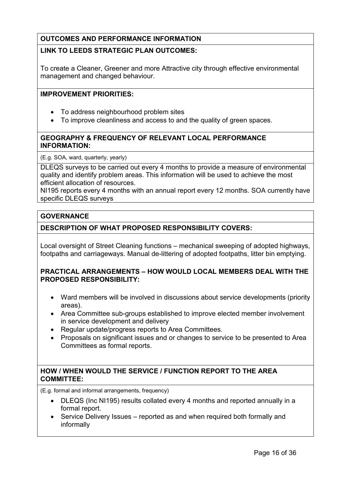### OUTCOMES AND PERFORMANCE INFORMATION

### LINK TO LEEDS STRATEGIC PLAN OUTCOMES:

To create a Cleaner, Greener and more Attractive city through effective environmental management and changed behaviour.

#### IMPROVEMENT PRIORITIES:

- To address neighbourhood problem sites
- To improve cleanliness and access to and the quality of green spaces.

#### GEOGRAPHY & FREQUENCY OF RELEVANT LOCAL PERFORMANCE INFORMATION:

(E.g. SOA, ward, quarterly, yearly)

DLEQS surveys to be carried out every 4 months to provide a measure of environmental quality and identify problem areas. This information will be used to achieve the most efficient allocation of resources.

NI195 reports every 4 months with an annual report every 12 months. SOA currently have specific DLEQS surveys

#### **GOVERNANCE**

#### DESCRIPTION OF WHAT PROPOSED RESPONSIBILITY COVERS:

Local oversight of Street Cleaning functions – mechanical sweeping of adopted highways, footpaths and carriageways. Manual de-littering of adopted footpaths, litter bin emptying.

#### PRACTICAL ARRANGEMENTS – HOW WOULD LOCAL MEMBERS DEAL WITH THE PROPOSED RESPONSIBILITY:

- Ward members will be involved in discussions about service developments (priority areas).
- Area Committee sub-groups established to improve elected member involvement in service development and delivery
- Regular update/progress reports to Area Committees.
- Proposals on significant issues and or changes to service to be presented to Area Committees as formal reports.

#### HOW / WHEN WOULD THE SERVICE / FUNCTION REPORT TO THE AREA COMMITTEE:

(E.g. formal and informal arrangements, frequency)

- DLEQS (Inc NI195) results collated every 4 months and reported annually in a formal report.
- Service Delivery Issues reported as and when required both formally and informally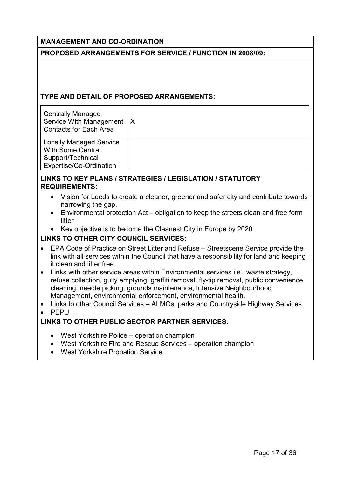#### MANAGEMENT AND CO-ORDINATION

#### PROPOSED ARRANGEMENTS FOR SERVICE / FUNCTION IN 2008/09:

#### TYPE AND DETAIL OF PROPOSED ARRANGEMENTS:

| <b>Centrally Managed</b><br>Service With Management   X<br><b>Contacts for Each Area</b>                   |  |
|------------------------------------------------------------------------------------------------------------|--|
| <b>Locally Managed Service</b><br><b>With Some Central</b><br>Support/Technical<br>Expertise/Co-Ordination |  |

#### LINKS TO KEY PLANS / STRATEGIES / LEGISLATION / STATUTORY REQUIREMENTS:

- Vision for Leeds to create a cleaner, greener and safer city and contribute towards narrowing the gap.
- Environmental protection Act obligation to keep the streets clean and free form litter
- Key objective is to become the Cleanest City in Europe by 2020

#### LINKS TO OTHER CITY COUNCIL SERVICES:

- EPA Code of Practice on Street Litter and Refuse Streetscene Service provide the link with all services within the Council that have a responsibility for land and keeping it clean and litter free.
- Links with other service areas within Environmental services i.e., waste strategy, refuse collection, gully emptying, graffiti removal, fly-tip removal, public convenience cleaning, needle picking, grounds maintenance, Intensive Neighbourhood Management, environmental enforcement, environmental health.
- Links to other Council Services ALMOs, parks and Countryside Highway Services.
- PEPU

### LINKS TO OTHER PUBLIC SECTOR PARTNER SERVICES:

- West Yorkshire Police operation champion
- West Yorkshire Fire and Rescue Services operation champion
- West Yorkshire Probation Service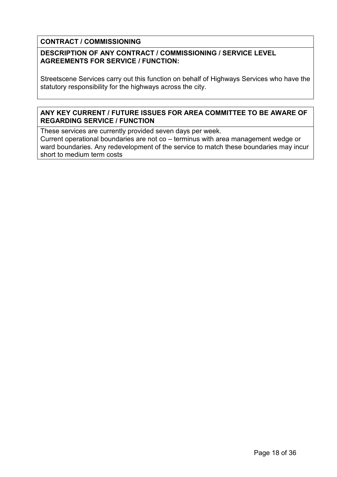#### CONTRACT / COMMISSIONING

#### DESCRIPTION OF ANY CONTRACT / COMMISSIONING / SERVICE LEVEL AGREEMENTS FOR SERVICE / FUNCTION:

Streetscene Services carry out this function on behalf of Highways Services who have the statutory responsibility for the highways across the city.

#### ANY KEY CURRENT / FUTURE ISSUES FOR AREA COMMITTEE TO BE AWARE OF REGARDING SERVICE / FUNCTION

These services are currently provided seven days per week.

Current operational boundaries are not co – terminus with area management wedge or ward boundaries. Any redevelopment of the service to match these boundaries may incur short to medium term costs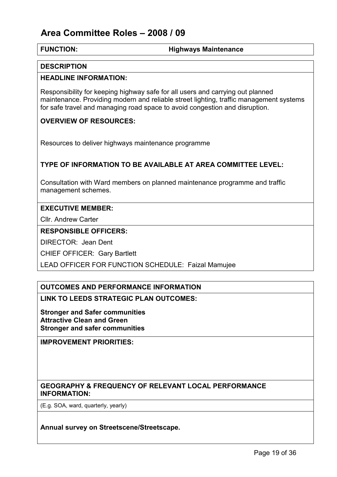#### FUNCTION: Highways Maintenance

#### **DESCRIPTION**

#### HEADLINE INFORMATION:

Responsibility for keeping highway safe for all users and carrying out planned maintenance. Providing modern and reliable street lighting, traffic management systems for safe travel and managing road space to avoid congestion and disruption.

#### OVERVIEW OF RESOURCES:

Resources to deliver highways maintenance programme

#### TYPE OF INFORMATION TO BE AVAILABLE AT AREA COMMITTEE LEVEL:

Consultation with Ward members on planned maintenance programme and traffic management schemes.

#### EXECUTIVE MEMBER:

Cllr. Andrew Carter

#### RESPONSIBLE OFFICERS:

DIRECTOR: Jean Dent

CHIEF OFFICER: Gary Bartlett

LEAD OFFICER FOR FUNCTION SCHEDULE: Faizal Mamujee

#### OUTCOMES AND PERFORMANCE INFORMATION

LINK TO LEEDS STRATEGIC PLAN OUTCOMES:

Stronger and Safer communities Attractive Clean and Green Stronger and safer communities

IMPROVEMENT PRIORITIES:

#### GEOGRAPHY & FREQUENCY OF RELEVANT LOCAL PERFORMANCE INFORMATION:

(E.g. SOA, ward, quarterly, yearly)

Annual survey on Streetscene/Streetscape.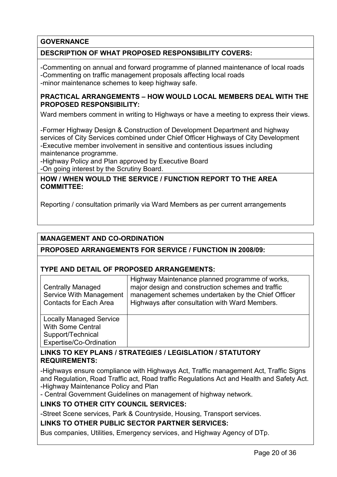#### **GOVERNANCE**

#### DESCRIPTION OF WHAT PROPOSED RESPONSIBILITY COVERS:

-Commenting on annual and forward programme of planned maintenance of local roads -Commenting on traffic management proposals affecting local roads -minor maintenance schemes to keep highway safe.

#### PRACTICAL ARRANGEMENTS – HOW WOULD LOCAL MEMBERS DEAL WITH THE PROPOSED RESPONSIBILITY:

Ward members comment in writing to Highways or have a meeting to express their views.

-Former Highway Design & Construction of Development Department and highway services of City Services combined under Chief Officer Highways of City Development -Executive member involvement in sensitive and contentious issues including maintenance programme.

-Highway Policy and Plan approved by Executive Board -On going interest by the Scrutiny Board.

#### HOW / WHEN WOULD THE SERVICE / FUNCTION REPORT TO THE AREA COMMITTEE:

Reporting / consultation primarily via Ward Members as per current arrangements

#### MANAGEMENT AND CO-ORDINATION

#### PROPOSED ARRANGEMENTS FOR SERVICE / FUNCTION IN 2008/09:

#### TYPE AND DETAIL OF PROPOSED ARRANGEMENTS:

| <b>Centrally Managed</b><br>Service With Management<br><b>Contacts for Each Area</b>                       | Highway Maintenance planned programme of works,<br>major design and construction schemes and traffic<br>management schemes undertaken by the Chief Officer<br>Highways after consultation with Ward Members. |
|------------------------------------------------------------------------------------------------------------|--------------------------------------------------------------------------------------------------------------------------------------------------------------------------------------------------------------|
| <b>Locally Managed Service</b><br><b>With Some Central</b><br>Support/Technical<br>Expertise/Co-Ordination |                                                                                                                                                                                                              |

#### LINKS TO KEY PLANS / STRATEGIES / LEGISLATION / STATUTORY REQUIREMENTS:

-Highways ensure compliance with Highways Act, Traffic management Act, Traffic Signs and Regulation, Road Traffic act, Road traffic Regulations Act and Health and Safety Act. -Highway Maintenance Policy and Plan

- Central Government Guidelines on management of highway network.

#### LINKS TO OTHER CITY COUNCIL SERVICES:

-Street Scene services, Park & Countryside, Housing, Transport services.

#### LINKS TO OTHER PUBLIC SECTOR PARTNER SERVICES:

Bus companies, Utilities, Emergency services, and Highway Agency of DTp.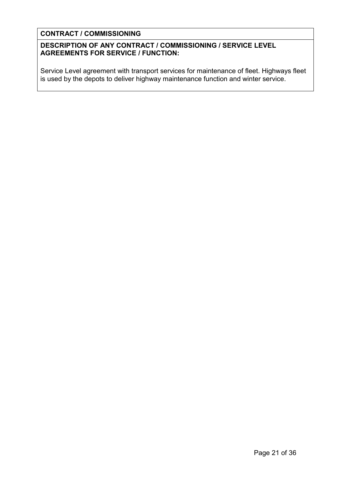#### CONTRACT / COMMISSIONING

#### DESCRIPTION OF ANY CONTRACT / COMMISSIONING / SERVICE LEVEL AGREEMENTS FOR SERVICE / FUNCTION:

Service Level agreement with transport services for maintenance of fleet. Highways fleet is used by the depots to deliver highway maintenance function and winter service.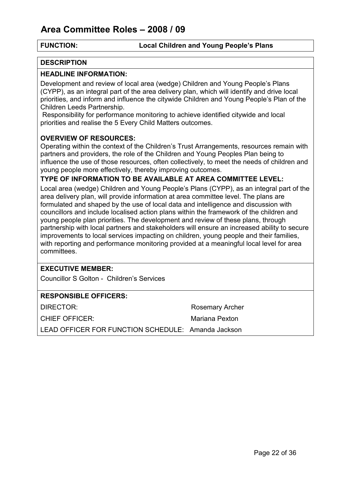#### FUNCTION: Local Children and Young People's Plans

#### **DESCRIPTION**

#### HEADLINE INFORMATION:

Development and review of local area (wedge) Children and Young People's Plans (CYPP), as an integral part of the area delivery plan, which will identify and drive local priorities, and inform and influence the citywide Children and Young People's Plan of the Children Leeds Partnership.

 Responsibility for performance monitoring to achieve identified citywide and local priorities and realise the 5 Every Child Matters outcomes.

#### OVERVIEW OF RESOURCES:

Operating within the context of the Children's Trust Arrangements, resources remain with partners and providers, the role of the Children and Young Peoples Plan being to influence the use of those resources, often collectively, to meet the needs of children and young people more effectively, thereby improving outcomes.

#### TYPE OF INFORMATION TO BE AVAILABLE AT AREA COMMITTEE LEVEL:

Local area (wedge) Children and Young People's Plans (CYPP), as an integral part of the area delivery plan, will provide information at area committee level. The plans are formulated and shaped by the use of local data and intelligence and discussion with councillors and include localised action plans within the framework of the children and young people plan priorities. The development and review of these plans, through partnership with local partners and stakeholders will ensure an increased ability to secure improvements to local services impacting on children, young people and their families, with reporting and performance monitoring provided at a meaningful local level for area committees.

#### EXECUTIVE MEMBER:

Councillor S Golton - Children's Services

#### RESPONSIBLE OFFICERS:

DIRECTOR: Rosemary Archer CHIEF OFFICER: Mariana Pexton

LEAD OFFICER FOR FUNCTION SCHEDULE: Amanda Jackson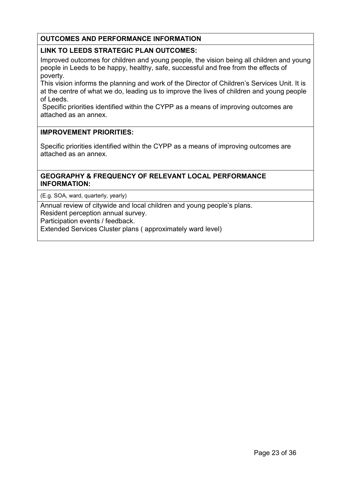#### OUTCOMES AND PERFORMANCE INFORMATION

#### LINK TO LEEDS STRATEGIC PLAN OUTCOMES:

Improved outcomes for children and young people, the vision being all children and young people in Leeds to be happy, healthy, safe, successful and free from the effects of poverty.

This vision informs the planning and work of the Director of Children's Services Unit. It is at the centre of what we do, leading us to improve the lives of children and young people of Leeds.

 Specific priorities identified within the CYPP as a means of improving outcomes are attached as an annex.

#### IMPROVEMENT PRIORITIES:

Specific priorities identified within the CYPP as a means of improving outcomes are attached as an annex.

#### GEOGRAPHY & FREQUENCY OF RELEVANT LOCAL PERFORMANCE INFORMATION:

(E.g. SOA, ward, quarterly, yearly)

Annual review of citywide and local children and young people's plans.

Resident perception annual survey.

Participation events / feedback.

Extended Services Cluster plans ( approximately ward level)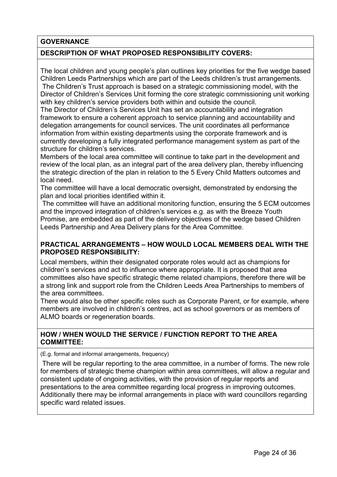#### **GOVERNANCE**

#### DESCRIPTION OF WHAT PROPOSED RESPONSIBILITY COVERS:

The local children and young people's plan outlines key priorities for the five wedge based Children Leeds Partnerships which are part of the Leeds children's trust arrangements. The Children's Trust approach is based on a strategic commissioning model, with the

Director of Children's Services Unit forming the core strategic commissioning unit working with key children's service providers both within and outside the council.

The Director of Children's Services Unit has set an accountability and integration framework to ensure a coherent approach to service planning and accountability and delegation arrangements for council services. The unit coordinates all performance information from within existing departments using the corporate framework and is currently developing a fully integrated performance management system as part of the structure for children's services.

Members of the local area committee will continue to take part in the development and review of the local plan, as an integral part of the area delivery plan, thereby influencing the strategic direction of the plan in relation to the 5 Every Child Matters outcomes and local need.

The committee will have a local democratic oversight, demonstrated by endorsing the plan and local priorities identified within it.

 The committee will have an additional monitoring function, ensuring the 5 ECM outcomes and the improved integration of children's services e.g. as with the Breeze Youth Promise, are embedded as part of the delivery objectives of the wedge based Children Leeds Partnership and Area Delivery plans for the Area Committee.

#### PRACTICAL ARRANGEMENTS – HOW WOULD LOCAL MEMBERS DEAL WITH THE PROPOSED RESPONSIBILITY:

Local members, within their designated corporate roles would act as champions for children's services and act to influence where appropriate. It is proposed that area committees also have specific strategic theme related champions, therefore there will be a strong link and support role from the Children Leeds Area Partnerships to members of the area committees.

There would also be other specific roles such as Corporate Parent, or for example, where members are involved in children's centres, act as school governors or as members of ALMO boards or regeneration boards.

#### HOW / WHEN WOULD THE SERVICE / FUNCTION REPORT TO THE AREA COMMITTEE:

(E.g. formal and informal arrangements, frequency)

 There will be regular reporting to the area committee, in a number of forms. The new role for members of strategic theme champion within area committees, will allow a regular and consistent update of ongoing activities, with the provision of regular reports and presentations to the area committee regarding local progress in improving outcomes. Additionally there may be informal arrangements in place with ward councillors regarding specific ward related issues.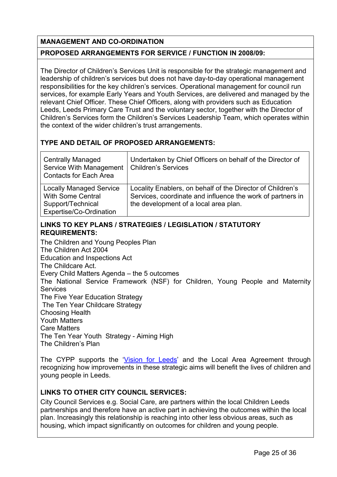### MANAGEMENT AND CO-ORDINATION

#### PROPOSED ARRANGEMENTS FOR SERVICE / FUNCTION IN 2008/09:

The Director of Children's Services Unit is responsible for the strategic management and leadership of children's services but does not have day-to-day operational management responsibilities for the key children's services. Operational management for council run services, for example Early Years and Youth Services, are delivered and managed by the relevant Chief Officer. These Chief Officers, along with providers such as Education Leeds, Leeds Primary Care Trust and the voluntary sector, together with the Director of Children's Services form the Children's Services Leadership Team, which operates within the context of the wider children's trust arrangements.

#### TYPE AND DETAIL OF PROPOSED ARRANGEMENTS:

| <b>Centrally Managed</b><br>Service With Management<br><b>Contacts for Each Area</b>                       | Undertaken by Chief Officers on behalf of the Director of<br><b>Children's Services</b>                                                                           |
|------------------------------------------------------------------------------------------------------------|-------------------------------------------------------------------------------------------------------------------------------------------------------------------|
| <b>Locally Managed Service</b><br><b>With Some Central</b><br>Support/Technical<br>Expertise/Co-Ordination | Locality Enablers, on behalf of the Director of Children's<br>Services, coordinate and influence the work of partners in<br>the development of a local area plan. |

#### LINKS TO KEY PLANS / STRATEGIES / LEGISLATION / STATUTORY REQUIREMENTS:

The Children and Young Peoples Plan The Children Act 2004 Education and Inspections Act The Childcare Act. Every Child Matters Agenda – the 5 outcomes The National Service Framework (NSF) for Children, Young People and Maternity Services The Five Year Education Strategy The Ten Year Childcare Strategy Choosing Health Youth Matters Care Matters The Ten Year Youth Strategy - Aiming High The Children's Plan

The CYPP supports the 'Vision for Leeds' and the Local Area Agreement through recognizing how improvements in these strategic aims will benefit the lives of children and young people in Leeds.

#### LINKS TO OTHER CITY COUNCIL SERVICES:

City Council Services e.g. Social Care, are partners within the local Children Leeds partnerships and therefore have an active part in achieving the outcomes within the local plan. Increasingly this relationship is reaching into other less obvious areas, such as housing, which impact significantly on outcomes for children and young people.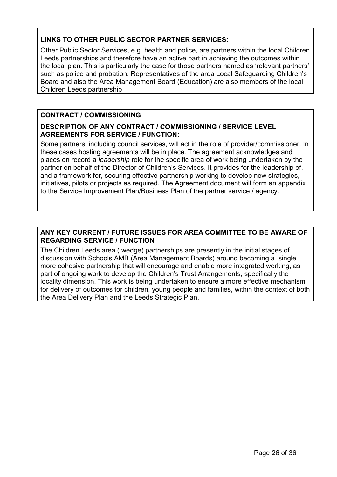### LINKS TO OTHER PUBLIC SECTOR PARTNER SERVICES:

Other Public Sector Services, e.g. health and police, are partners within the local Children Leeds partnerships and therefore have an active part in achieving the outcomes within the local plan. This is particularly the case for those partners named as 'relevant partners' such as police and probation. Representatives of the area Local Safeguarding Children's Board and also the Area Management Board (Education) are also members of the local Children Leeds partnership

### CONTRACT / COMMISSIONING

#### DESCRIPTION OF ANY CONTRACT / COMMISSIONING / SERVICE LEVEL AGREEMENTS FOR SERVICE / FUNCTION:

Some partners, including council services, will act in the role of provider/commissioner. In these cases hosting agreements will be in place. The agreement acknowledges and places on record a leadership role for the specific area of work being undertaken by the partner on behalf of the Director of Children's Services. It provides for the leadership of, and a framework for, securing effective partnership working to develop new strategies, initiatives, pilots or projects as required. The Agreement document will form an appendix to the Service Improvement Plan/Business Plan of the partner service / agency.

#### ANY KEY CURRENT / FUTURE ISSUES FOR AREA COMMITTEE TO BE AWARE OF REGARDING SERVICE / FUNCTION

The Children Leeds area ( wedge) partnerships are presently in the initial stages of discussion with Schools AMB (Area Management Boards) around becoming a single more cohesive partnership that will encourage and enable more integrated working, as part of ongoing work to develop the Children's Trust Arrangements, specifically the locality dimension. This work is being undertaken to ensure a more effective mechanism for delivery of outcomes for children, young people and families, within the context of both the Area Delivery Plan and the Leeds Strategic Plan.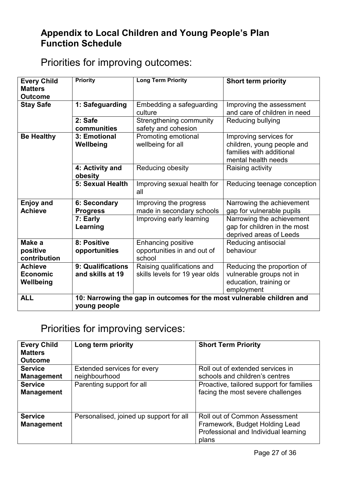# Appendix to Local Children and Young People's Plan Function Schedule

# Priorities for improving outcomes:

| <b>Every Child</b><br><b>Matters</b><br><b>Outcome</b> | <b>Priority</b>                                                                        | <b>Long Term Priority</b>                                          | <b>Short term priority</b>                                                                              |
|--------------------------------------------------------|----------------------------------------------------------------------------------------|--------------------------------------------------------------------|---------------------------------------------------------------------------------------------------------|
| <b>Stay Safe</b>                                       | 1: Safeguarding                                                                        | Embedding a safeguarding<br>culture                                | Improving the assessment<br>and care of children in need                                                |
|                                                        | 2: Safe<br>communities                                                                 | Strengthening community<br>safety and cohesion                     | Reducing bullying                                                                                       |
| <b>Be Healthy</b>                                      | 3: Emotional<br>Wellbeing                                                              | Promoting emotional<br>wellbeing for all                           | Improving services for<br>children, young people and<br>families with additional<br>mental health needs |
|                                                        | 4: Activity and<br>obesity                                                             | Reducing obesity                                                   | Raising activity                                                                                        |
|                                                        | 5: Sexual Health                                                                       | Improving sexual health for<br>all                                 | Reducing teenage conception                                                                             |
| <b>Enjoy and</b><br><b>Achieve</b>                     | 6: Secondary<br><b>Progress</b>                                                        | Improving the progress<br>made in secondary schools                | Narrowing the achievement<br>gap for vulnerable pupils                                                  |
|                                                        | 7: Early<br>Learning                                                                   | Improving early learning                                           | Narrowing the achievement<br>gap for children in the most<br>deprived areas of Leeds                    |
| Make a<br>positive<br>contribution                     | 8: Positive<br>opportunities                                                           | <b>Enhancing positive</b><br>opportunities in and out of<br>school | Reducing antisocial<br>behaviour                                                                        |
| <b>Achieve</b><br><b>Economic</b><br>Wellbeing         | 9: Qualifications<br>and skills at 19                                                  | Raising qualifications and<br>skills levels for 19 year olds       | Reducing the proportion of<br>vulnerable groups not in<br>education, training or<br>employment          |
| <b>ALL</b>                                             | 10: Narrowing the gap in outcomes for the most vulnerable children and<br>young people |                                                                    |                                                                                                         |

# Priorities for improving services:

| <b>Every Child</b><br><b>Matters</b><br><b>Outcome</b> | Long term priority                      | <b>Short Term Priority</b>               |
|--------------------------------------------------------|-----------------------------------------|------------------------------------------|
| <b>Service</b>                                         | Extended services for every             | Roll out of extended services in         |
| <b>Management</b>                                      | neighbourhood                           | schools and children's centres           |
| <b>Service</b>                                         | Parenting support for all               | Proactive, tailored support for families |
| <b>Management</b>                                      |                                         | facing the most severe challenges        |
| <b>Service</b>                                         | Personalised, joined up support for all | <b>Roll out of Common Assessment</b>     |
| <b>Management</b>                                      |                                         | Framework, Budget Holding Lead           |
|                                                        |                                         | Professional and Individual learning     |
|                                                        |                                         | plans                                    |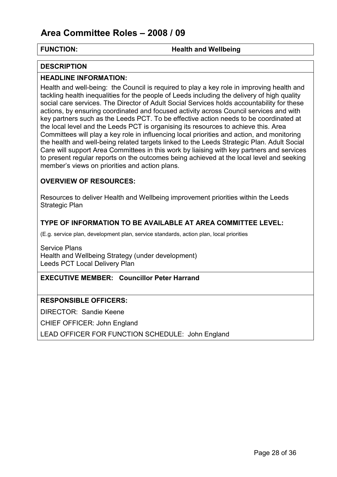#### FUNCTION: **Health and Wellbeing**

#### **DESCRIPTION**

#### HEADLINE INFORMATION:

Health and well-being: the Council is required to play a key role in improving health and tackling health inequalities for the people of Leeds including the delivery of high quality social care services. The Director of Adult Social Services holds accountability for these actions, by ensuring coordinated and focused activity across Council services and with key partners such as the Leeds PCT. To be effective action needs to be coordinated at the local level and the Leeds PCT is organising its resources to achieve this. Area Committees will play a key role in influencing local priorities and action, and monitoring the health and well-being related targets linked to the Leeds Strategic Plan. Adult Social Care will support Area Committees in this work by liaising with key partners and services to present regular reports on the outcomes being achieved at the local level and seeking member's views on priorities and action plans.

#### OVERVIEW OF RESOURCES:

Resources to deliver Health and Wellbeing improvement priorities within the Leeds Strategic Plan

#### TYPE OF INFORMATION TO BE AVAILABLE AT AREA COMMITTEE LEVEL:

(E.g. service plan, development plan, service standards, action plan, local priorities

Service Plans Health and Wellbeing Strategy (under development) Leeds PCT Local Delivery Plan

#### EXECUTIVE MEMBER: Councillor Peter Harrand

#### RESPONSIBLE OFFICERS:

DIRECTOR: Sandie Keene

CHIEF OFFICER: John England

LEAD OFFICER FOR FUNCTION SCHEDULE: John England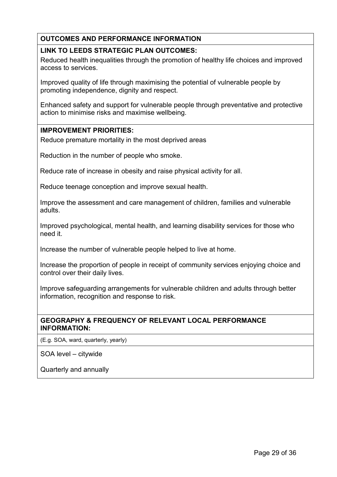#### OUTCOMES AND PERFORMANCE INFORMATION

#### LINK TO LEEDS STRATEGIC PLAN OUTCOMES:

Reduced health inequalities through the promotion of healthy life choices and improved access to services.

Improved quality of life through maximising the potential of vulnerable people by promoting independence, dignity and respect.

Enhanced safety and support for vulnerable people through preventative and protective action to minimise risks and maximise wellbeing.

#### IMPROVEMENT PRIORITIES:

Reduce premature mortality in the most deprived areas

Reduction in the number of people who smoke.

Reduce rate of increase in obesity and raise physical activity for all.

Reduce teenage conception and improve sexual health.

Improve the assessment and care management of children, families and vulnerable adults.

Improved psychological, mental health, and learning disability services for those who need it.

Increase the number of vulnerable people helped to live at home.

Increase the proportion of people in receipt of community services enjoying choice and control over their daily lives.

Improve safeguarding arrangements for vulnerable children and adults through better information, recognition and response to risk.

#### GEOGRAPHY & FREQUENCY OF RELEVANT LOCAL PERFORMANCE INFORMATION:

(E.g. SOA, ward, quarterly, yearly)

SOA level – citywide

Quarterly and annually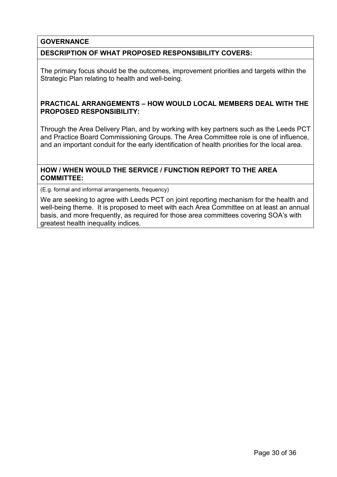#### **GOVERNANCE**

#### DESCRIPTION OF WHAT PROPOSED RESPONSIBILITY COVERS:

The primary focus should be the outcomes, improvement priorities and targets within the Strategic Plan relating to health and well-being.

#### PRACTICAL ARRANGEMENTS – HOW WOULD LOCAL MEMBERS DEAL WITH THE PROPOSED RESPONSIBILITY:

Through the Area Delivery Plan, and by working with key partners such as the Leeds PCT and Practice Board Commissioning Groups. The Area Committee role is one of influence, and an important conduit for the early identification of health priorities for the local area.

#### HOW / WHEN WOULD THE SERVICE / FUNCTION REPORT TO THE AREA COMMITTEE:

(E.g. formal and informal arrangements, frequency)

We are seeking to agree with Leeds PCT on joint reporting mechanism for the health and well-being theme. It is proposed to meet with each Area Committee on at least an annual basis, and more frequently, as required for those area committees covering SOA's with greatest health inequality indices.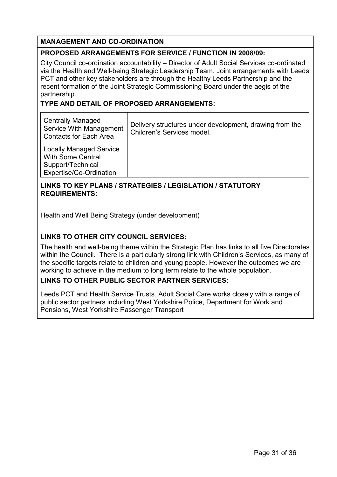#### MANAGEMENT AND CO-ORDINATION

#### PROPOSED ARRANGEMENTS FOR SERVICE / FUNCTION IN 2008/09:

City Council co-ordination accountability – Director of Adult Social Services co-ordinated via the Health and Well-being Strategic Leadership Team. Joint arrangements with Leeds PCT and other key stakeholders are through the Healthy Leeds Partnership and the recent formation of the Joint Strategic Commissioning Board under the aegis of the partnership.

#### TYPE AND DETAIL OF PROPOSED ARRANGEMENTS:

| <b>Centrally Managed</b><br>Service With Management<br><b>Contacts for Each Area</b>                       | Delivery structures under development, drawing from the<br>Children's Services model. |
|------------------------------------------------------------------------------------------------------------|---------------------------------------------------------------------------------------|
| <b>Locally Managed Service</b><br><b>With Some Central</b><br>Support/Technical<br>Expertise/Co-Ordination |                                                                                       |

#### LINKS TO KEY PLANS / STRATEGIES / LEGISLATION / STATUTORY REQUIREMENTS:

Health and Well Being Strategy (under development)

#### LINKS TO OTHER CITY COUNCIL SERVICES:

The health and well-being theme within the Strategic Plan has links to all five Directorates within the Council. There is a particularly strong link with Children's Services, as many of the specific targets relate to children and young people. However the outcomes we are working to achieve in the medium to long term relate to the whole population.

#### LINKS TO OTHER PUBLIC SECTOR PARTNER SERVICES:

Leeds PCT and Health Service Trusts. Adult Social Care works closely with a range of public sector partners including West Yorkshire Police, Department for Work and Pensions, West Yorkshire Passenger Transport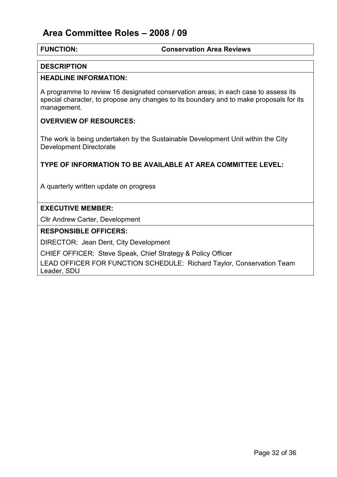#### FUNCTION: Conservation Area Reviews

#### **DESCRIPTION**

#### HEADLINE INFORMATION:

A programme to review 16 designated conservation areas; in each case to assess its special character, to propose any changes to its boundary and to make proposals for its management.

#### OVERVIEW OF RESOURCES:

The work is being undertaken by the Sustainable Development Unit within the City Development Directorate

#### TYPE OF INFORMATION TO BE AVAILABLE AT AREA COMMITTEE LEVEL:

A quarterly written update on progress

#### EXECUTIVE MEMBER:

Cllr Andrew Carter, Development

#### RESPONSIBLE OFFICERS:

DIRECTOR: Jean Dent, City Development

CHIEF OFFICER: Steve Speak, Chief Strategy & Policy Officer

LEAD OFFICER FOR FUNCTION SCHEDULE: Richard Taylor, Conservation Team Leader, SDU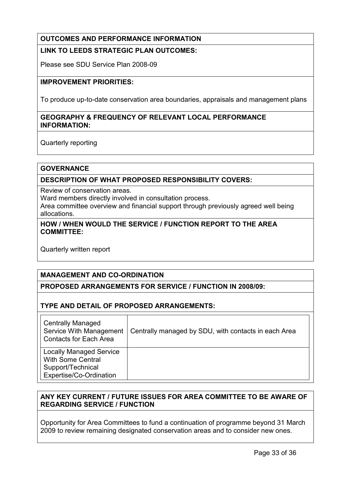### OUTCOMES AND PERFORMANCE INFORMATION

#### LINK TO LEEDS STRATEGIC PLAN OUTCOMES:

Please see SDU Service Plan 2008-09

#### IMPROVEMENT PRIORITIES:

To produce up-to-date conservation area boundaries, appraisals and management plans

#### GEOGRAPHY & FREQUENCY OF RELEVANT LOCAL PERFORMANCE INFORMATION:

Quarterly reporting

#### **GOVERNANCE**

#### DESCRIPTION OF WHAT PROPOSED RESPONSIBILITY COVERS:

Review of conservation areas.

Ward members directly involved in consultation process.

Area committee overview and financial support through previously agreed well being allocations.

#### HOW / WHEN WOULD THE SERVICE / FUNCTION REPORT TO THE AREA COMMITTEE:

Quarterly written report

#### MANAGEMENT AND CO-ORDINATION

#### PROPOSED ARRANGEMENTS FOR SERVICE / FUNCTION IN 2008/09:

#### TYPE AND DETAIL OF PROPOSED ARRANGEMENTS:

| <b>Centrally Managed</b><br><b>Service With Management</b><br><b>Contacts for Each Area</b>                | Centrally managed by SDU, with contacts in each Area |
|------------------------------------------------------------------------------------------------------------|------------------------------------------------------|
| <b>Locally Managed Service</b><br><b>With Some Central</b><br>Support/Technical<br>Expertise/Co-Ordination |                                                      |

#### ANY KEY CURRENT / FUTURE ISSUES FOR AREA COMMITTEE TO BE AWARE OF REGARDING SERVICE / FUNCTION

Opportunity for Area Committees to fund a continuation of programme beyond 31 March 2009 to review remaining designated conservation areas and to consider new ones.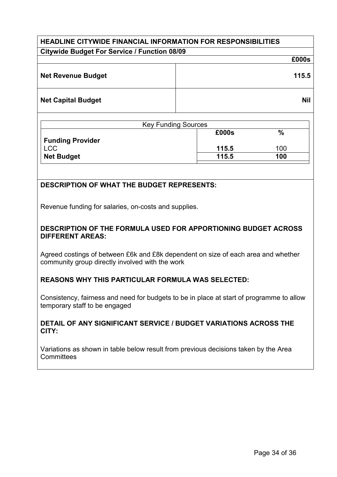# HEADLINE CITYWIDE FINANCIAL INFORMATION FOR RESPONSIBILITIES Citywide Budget For Service / Function 08/09 £000s Net Revenue Budget **115.5** Net Capital Budget Nil and South Art and South Art and Art and Art and Art and Art and Art and Art and Art and

| <b>Key Funding Sources</b> |       |               |  |  |  |  |  |  |
|----------------------------|-------|---------------|--|--|--|--|--|--|
|                            | £000s | $\frac{0}{0}$ |  |  |  |  |  |  |
| <b>Funding Provider</b>    |       |               |  |  |  |  |  |  |
| <b>LCC</b>                 | 115.5 | 100           |  |  |  |  |  |  |
| <b>Net Budget</b>          | 115.5 | 100           |  |  |  |  |  |  |

### DESCRIPTION OF WHAT THE BUDGET REPRESENTS:

Revenue funding for salaries, on-costs and supplies.

#### DESCRIPTION OF THE FORMULA USED FOR APPORTIONING BUDGET ACROSS DIFFERENT AREAS:

Agreed costings of between £6k and £8k dependent on size of each area and whether community group directly involved with the work

#### REASONS WHY THIS PARTICULAR FORMULA WAS SELECTED:

Consistency, fairness and need for budgets to be in place at start of programme to allow temporary staff to be engaged

#### DETAIL OF ANY SIGNIFICANT SERVICE / BUDGET VARIATIONS ACROSS THE CITY:

Variations as shown in table below result from previous decisions taken by the Area **Committees**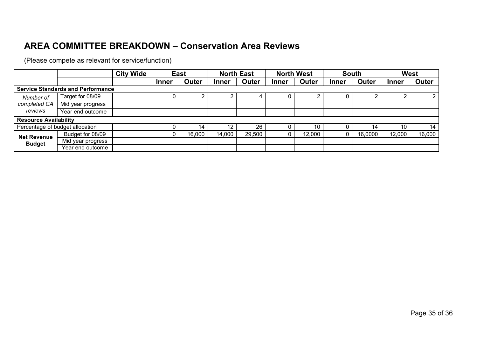# AREA COMMITTEE BREAKDOWN – Conservation Area Reviews

(Please compete as relevant for service/function)

|                                          |                                 | <b>City Wide</b><br><b>East</b> |              | <b>North East</b> |                   | <b>North West</b> |              | <b>South</b> |       | <b>West</b> |              |              |
|------------------------------------------|---------------------------------|---------------------------------|--------------|-------------------|-------------------|-------------------|--------------|--------------|-------|-------------|--------------|--------------|
|                                          |                                 |                                 | <b>Inner</b> | Outer             | <b>Inner</b>      | Outer             | <b>Inner</b> | Outer        | Inner | Outer       | <b>Inner</b> | <b>Outer</b> |
| <b>Service Standards and Performance</b> |                                 |                                 |              |                   |                   |                   |              |              |       |             |              |              |
| Number of<br>completed CA<br>reviews     | Target for 08/09                |                                 | U            |                   |                   |                   | υ            |              |       |             |              |              |
|                                          | Mid year progress               |                                 |              |                   |                   |                   |              |              |       |             |              |              |
|                                          | Year end outcome                |                                 |              |                   |                   |                   |              |              |       |             |              |              |
| <b>Resource Availability</b>             |                                 |                                 |              |                   |                   |                   |              |              |       |             |              |              |
|                                          | Percentage of budget allocation |                                 | 0            | 14                | $12 \overline{ }$ | 26                |              | 10           |       | 14          | 10           | 14           |
| <b>Net Revenue</b><br><b>Budget</b>      | Budget for 08/09                |                                 | 0            | 16,000            | 14,000            | 29,500            | υ            | 12,000       | 0     | 16,0000     | 12,000       | 16,000       |
|                                          | Mid year progress               |                                 |              |                   |                   |                   |              |              |       |             |              |              |
|                                          | Year end outcome                |                                 |              |                   |                   |                   |              |              |       |             |              |              |